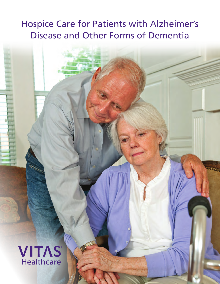# Hospice Care for Patients with Alzheimer's Disease and Other Forms of Dementia

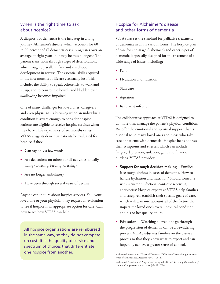### When is the right time to ask about hospice?

A diagnosis of dementia is the first step in a long journey. Alzheimer's disease, which accounts for 60 to 80 percent of all dementia cases, progresses over an average of eight years, but may be much longer.<sup>1,2</sup> The patient transitions through stages of deterioration, which roughly parallel infant and childhood development in reverse. The essential skills acquired in the first months of life are eventually lost. This includes the ability to speak coherently, to walk and sit up, and to control the bowels and bladder; even swallowing becomes impaired.

One of many challenges for loved ones, caregivers and even physicians is knowing when an individual's condition is severe enough to consider hospice. Patients are eligible to receive hospice services when they have a life expectancy of six months or less. VITAS suggests dementia patients be evaluated for hospice if they:

- Can say only a few words
- Are dependent on others for all activities of daily living (toileting, feeding, dressing)
- Are no longer ambulatory
- Have been through several years of decline

Anyone can inquire about hospice services. You, your loved one or your physician may request an evaluation to see if hospice is an appropriate option for care. Call now to see how VITAS can help.

All hospice organizations are reimbursed in the same way, so they do not compete on cost. It is the quality of service and spectrum of choices that differentiate one hospice from another.

## Hospice for Alzheimer's disease and other forms of dementia

VITAS has set the standard for palliative treatment of dementia in all its various forms. The hospice plan of care for end-stage Alzheimer's and other types of dementia is specially designed for the treatment of a wide range of issues, including:

- Pain
- Hydration and nutrition
- Skin care
- Agitation
- Recurrent infection

The collaborative approach at VITAS is designed to do more than manage the patient's physical condition. We offer the emotional and spiritual support that is essential to so many loved ones and those who take care of patients with dementia. Hospice helps address their symptoms and stresses, which can include fatigue, depression, isolation, guilt and financial burdens. VITAS provides:

- **Support for tough decision making**—Families face tough choices in cases of dementia. How to handle hydration and nutrition? Should someone with recurrent infections continue receiving antibiotics? Hospice experts at VITAS help families and caregivers establish their specific goals of care, which will take into account all of the factors that impact the loved one's overall physical condition and his or her quality of life.
- **Education**—Watching a loved one go through the progression of dementia can be a bewildering process. VITAS educates families on the disease process so that they know what to expect and can hopefully achieve a greater sense of control.

Alzheimer's Association. "Types of Dementia." Web. http://www.alz.org/dementia/ types-of-dementia.asp. Accessed July 17, 2014.

<sup>2</sup> Alzheimer's Association. "Progression Through the Brain." Web. http://www.alz.org/ braintour/progression.asp. Accessed July 17, 2014.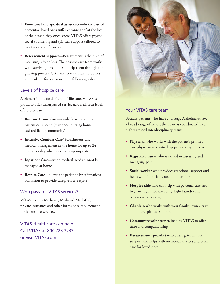- **Emotional and spiritual assistance**—In the case of dementia, loved ones suffer chronic grief at the loss of the person they once knew. VITAS offers psychosocial counseling and spiritual support tailored to meet your specific needs.
- **Bereavement support—**Bereavement is the time of mourning after a loss. The hospice care team works with surviving loved ones to help them through the grieving process. Grief and bereavement resources are available for a year or more following a death.

#### Levels of hospice care

A pioneer in the field of end-of-life care, VITAS is proud to offer unsurpassed service across all four levels of hospice care:

- **Routine Home Care**—available wherever the patient calls home (residence, nursing home, assisted living community)
- **Intensive Comfort Care®** (continuous care) medical management in the home for up to 24 hours per day when medically appropriate
- **Inpatient Care**—when medical needs cannot be managed at home
- **Respite Care**—allows the patient a brief inpatient admission to provide caregivers a "respite"

#### Who pays for VITAS services?

VITAS accepts Medicare, Medicaid/Medi-Cal, private insurance and other forms of reimbursement for its hospice services.

VITAS Healthcare can help. Call VITAS at 800.723.3233 or visit VITAS.com



#### Your VITAS care team

Because patients who have end-stage Alzheimer's have a broad range of needs, their care is coordinated by a highly trained interdisciplinary team:

- **Physician** who works with the patient's primary care physician in controlling pain and symptoms
- **Registered nurse** who is skilled in assessing and managing pain
- **Social worker** who provides emotional support and helps with financial issues and planning
- **Hospice aide** who can help with personal care and hygiene, light housekeeping, light laundry and occasional shopping
- **Chaplain** who works with your family's own clergy and offers spiritual support
- **Community volunteer** trained by VITAS to offer time and companionship
- **Bereavement specialist** who offers grief and loss support and helps with memorial services and other care for loved ones